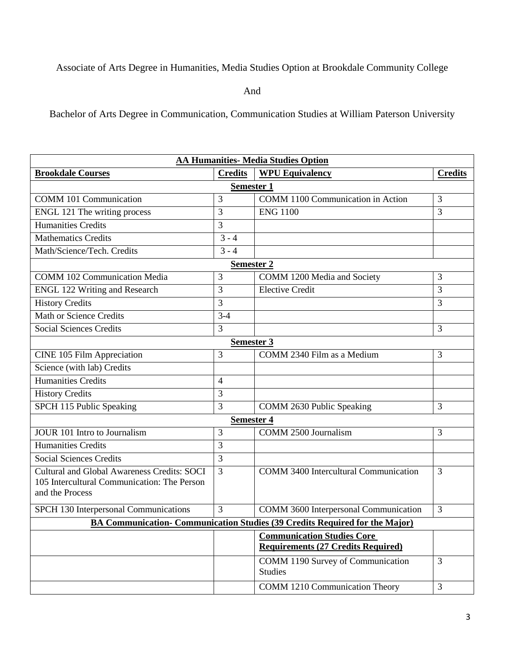Associate of Arts Degree in Humanities, Media Studies Option at Brookdale Community College

And

Bachelor of Arts Degree in Communication, Communication Studies at William Paterson University

| <b>AA Humanities- Media Studies Option</b>                                 |                |                                              |                |  |
|----------------------------------------------------------------------------|----------------|----------------------------------------------|----------------|--|
| <b>Brookdale Courses</b>                                                   | <b>Credits</b> | <b>WPU Equivalency</b>                       | <b>Credits</b> |  |
| <b>Semester 1</b>                                                          |                |                                              |                |  |
| <b>COMM 101 Communication</b>                                              | 3              | COMM 1100 Communication in Action            | 3              |  |
| ENGL 121 The writing process                                               | 3              | <b>ENG 1100</b>                              | 3              |  |
| <b>Humanities Credits</b>                                                  | 3              |                                              |                |  |
| <b>Mathematics Credits</b>                                                 | $3 - 4$        |                                              |                |  |
| Math/Science/Tech. Credits                                                 | $3 - 4$        |                                              |                |  |
| <b>Semester 2</b>                                                          |                |                                              |                |  |
| <b>COMM 102 Communication Media</b>                                        | 3              | COMM 1200 Media and Society                  | 3              |  |
| <b>ENGL 122 Writing and Research</b>                                       | 3              | <b>Elective Credit</b>                       | 3              |  |
| <b>History Credits</b>                                                     | 3              |                                              | 3              |  |
| <b>Math or Science Credits</b>                                             | $3-4$          |                                              |                |  |
| <b>Social Sciences Credits</b>                                             | 3              |                                              | 3              |  |
| <b>Semester 3</b>                                                          |                |                                              |                |  |
| CINE 105 Film Appreciation                                                 | 3              | COMM 2340 Film as a Medium                   | 3              |  |
| Science (with lab) Credits                                                 |                |                                              |                |  |
| <b>Humanities Credits</b>                                                  | $\overline{4}$ |                                              |                |  |
| <b>History Credits</b>                                                     | 3              |                                              |                |  |
| SPCH 115 Public Speaking                                                   | 3              | COMM 2630 Public Speaking                    | 3              |  |
| <b>Semester 4</b>                                                          |                |                                              |                |  |
| <b>JOUR 101 Intro to Journalism</b>                                        | 3              | <b>COMM 2500 Journalism</b>                  | 3              |  |
| <b>Humanities Credits</b>                                                  | 3              |                                              |                |  |
| <b>Social Sciences Credits</b>                                             | 3              |                                              |                |  |
| Cultural and Global Awareness Credits: SOCI                                | 3              | <b>COMM 3400 Intercultural Communication</b> | 3              |  |
| 105 Intercultural Communication: The Person                                |                |                                              |                |  |
| and the Process                                                            |                |                                              |                |  |
| SPCH 130 Interpersonal Communications                                      | $\overline{3}$ | COMM 3600 Interpersonal Communication        | 3              |  |
| BA Communication-Communication Studies (39 Credits Required for the Major) |                |                                              |                |  |
|                                                                            |                | <b>Communication Studies Core</b>            |                |  |
|                                                                            |                | <b>Requirements (27 Credits Required)</b>    |                |  |
|                                                                            |                | COMM 1190 Survey of Communication            | $\overline{3}$ |  |
|                                                                            |                | <b>Studies</b>                               |                |  |
|                                                                            |                | <b>COMM 1210 Communication Theory</b>        | $\overline{3}$ |  |